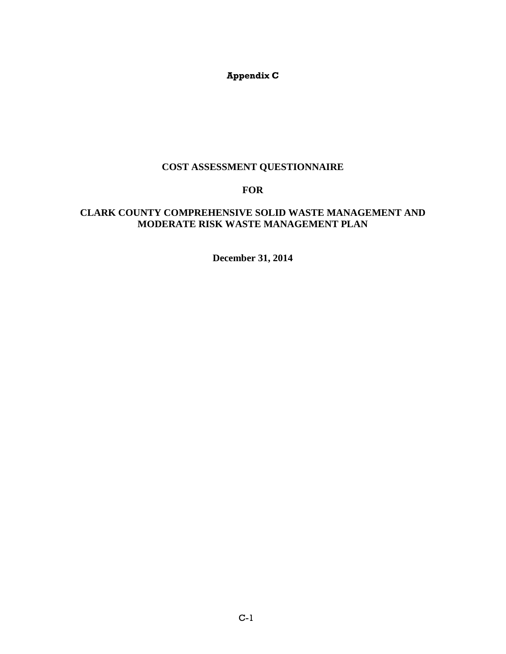## **Appendix C**

## **COST ASSESSMENT QUESTIONNAIRE**

# **FOR**

### **CLARK COUNTY COMPREHENSIVE SOLID WASTE MANAGEMENT AND MODERATE RISK WASTE MANAGEMENT PLAN**

**December 31, 2014**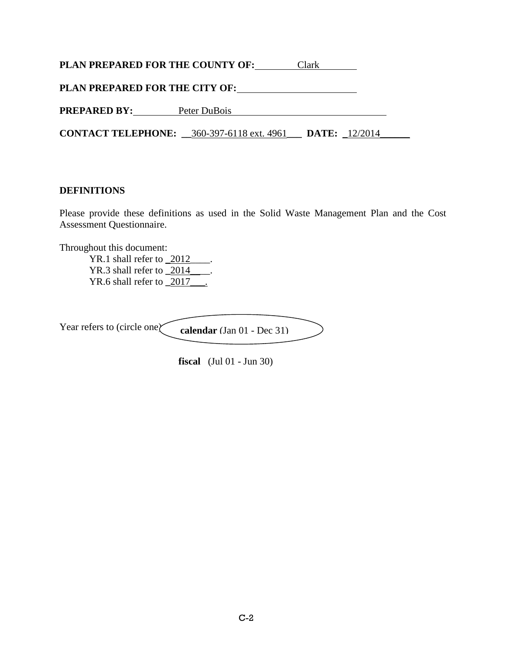**PLAN PREPARED FOR THE COUNTY OF: Clark COUNTY CLARK** 

**PLAN PREPARED FOR THE CITY OF:**

**PREPARED BY:** Peter DuBois

**CONTACT TELEPHONE: \_\_**360-397-6118 ext. 4961**\_\_\_ DATE:** \_12/2014\_\_\_\_\_\_

## **DEFINITIONS**

Please provide these definitions as used in the Solid Waste Management Plan and the Cost Assessment Questionnaire.

Throughout this document:

YR.1 shall refer to \_2012\_\_\_\_\_. YR.3 shall refer to **\_**2014\_\_\_\_. YR.6 shall refer to **\_**2017\_\_\_.

Year refers to (circle one) **calendar** (Jan 01 - Dec 31)

**fiscal** (Jul 01 - Jun 30)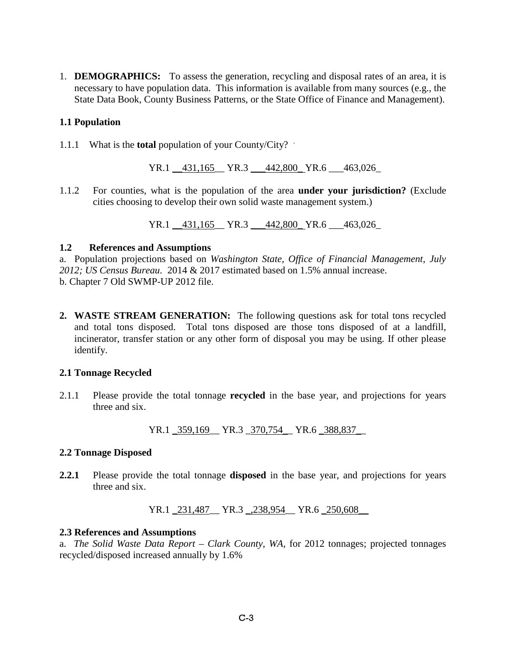1. **DEMOGRAPHICS:** To assess the generation, recycling and disposal rates of an area, it is necessary to have population data. This information is available from many sources (e.g., the State Data Book, County Business Patterns, or the State Office of Finance and Management).

### **1.1 Population**

1.1.1 What is the **total** population of your County/City? .

YR.1 \_\_431,165\_\_ YR.3 \_\_\_442,800\_ YR.6 \_\_\_463,026\_

1.1.2 For counties, what is the population of the area **under your jurisdiction?** (Exclude cities choosing to develop their own solid waste management system.)

YR.1 \_\_431,165\_\_ YR.3 \_\_\_442,800\_ YR.6 \_\_\_463,026\_

### **1.2 References and Assumptions**

a. Population projections based on *Washington State, Office of Financial Management, July 2012; US Census Bureau.* 2014 & 2017 estimated based on 1.5% annual increase. b. Chapter 7 Old SWMP-UP 2012 file.

**2. WASTE STREAM GENERATION:** The following questions ask for total tons recycled and total tons disposed. Total tons disposed are those tons disposed of at a landfill, incinerator, transfer station or any other form of disposal you may be using. If other please identify.

### **2.1 Tonnage Recycled**

2.1.1 Please provide the total tonnage **recycled** in the base year, and projections for years three and six.

YR.1 \_359,169\_\_ YR.3 \_370,754\_\_ YR.6 \_388,837\_\_

### **2.2 Tonnage Disposed**

**2.2.1** Please provide the total tonnage **disposed** in the base year, and projections for years three and six.

YR.1 \_231,487\_\_ YR.3 \_,238,954\_\_ YR.6 \_250,608\_\_

### **2.3 References and Assumptions**

a. *The Solid Waste Data Report – Clark County, WA,* for 2012 tonnages; projected tonnages recycled/disposed increased annually by 1.6%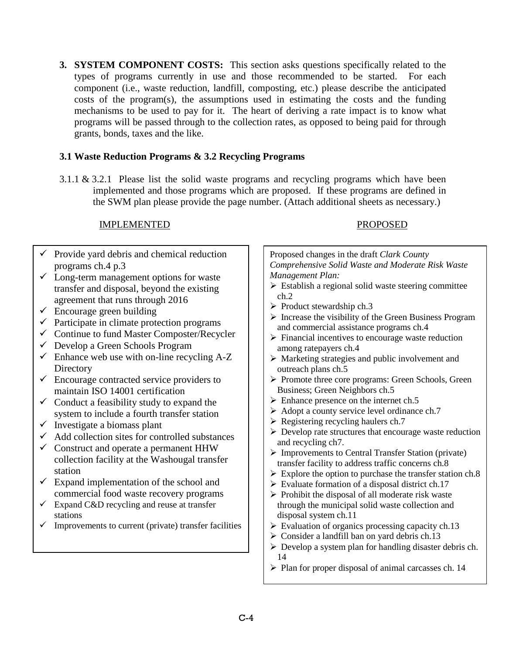**3. SYSTEM COMPONENT COSTS:** This section asks questions specifically related to the types of programs currently in use and those recommended to be started. For each component (i.e., waste reduction, landfill, composting, etc.) please describe the anticipated costs of the program(s), the assumptions used in estimating the costs and the funding mechanisms to be used to pay for it. The heart of deriving a rate impact is to know what programs will be passed through to the collection rates, as opposed to being paid for through grants, bonds, taxes and the like.

## **3.1 Waste Reduction Programs & 3.2 Recycling Programs**

3.1.1 & 3.2.1 Please list the solid waste programs and recycling programs which have been implemented and those programs which are proposed. If these programs are defined in the SWM plan please provide the page number. (Attach additional sheets as necessary.)

## IMPLEMENTED PROPOSED

## $\checkmark$  Provide yard debris and chemical reduction programs ch.4 p.3

- $\checkmark$  Long-term management options for waste transfer and disposal, beyond the existing agreement that runs through 2016
- $\checkmark$  Encourage green building
- $\checkmark$  Participate in climate protection programs
- $\checkmark$  Continue to fund Master Composter/Recycler
- $\checkmark$  Develop a Green Schools Program
- $\checkmark$  Enhance web use with on-line recycling A-Z **Directory**
- $\checkmark$  Encourage contracted service providers to maintain ISO 14001 certification
- $\checkmark$  Conduct a feasibility study to expand the system to include a fourth transfer station
- $\checkmark$  Investigate a biomass plant
- $\checkmark$  Add collection sites for controlled substances
- $\checkmark$  Construct and operate a permanent HHW collection facility at the Washougal transfer station
- $\checkmark$  Expand implementation of the school and commercial food waste recovery programs
- $\checkmark$  Expand C&D recycling and reuse at transfer stations
- $\checkmark$  Improvements to current (private) transfer facilities

Proposed changes in the draft *Clark County Comprehensive Solid Waste and Moderate Risk Waste Management Plan:*  $\triangleright$  Establish a regional solid waste steering committee ch.2  $\triangleright$  Product stewardship ch.3  $\triangleright$  Increase the visibility of the Green Business Program and commercial assistance programs ch.4  $\triangleright$  Financial incentives to encourage waste reduction among ratepayers ch.4  $\triangleright$  Marketing strategies and public involvement and outreach plans ch.5 Promote three core programs: Green Schools, Green Business; Green Neighbors ch.5  $\triangleright$  Enhance presence on the internet ch.5  $\triangleright$  Adopt a county service level ordinance ch.7  $\triangleright$  Registering recycling haulers ch.7  $\triangleright$  Develop rate structures that encourage waste reduction and recycling ch7.

- $\triangleright$  Improvements to Central Transfer Station (private) transfer facility to address traffic concerns ch.8
- $\triangleright$  Explore the option to purchase the transfer station ch.8
- $\triangleright$  Evaluate formation of a disposal district ch.17
- $\triangleright$  Prohibit the disposal of all moderate risk waste through the municipal solid waste collection and disposal system ch.11
- $\triangleright$  Evaluation of organics processing capacity ch.13
- $\geq$  Consider a landfill ban on yard debris ch.13
- $\triangleright$  Develop a system plan for handling disaster debris ch. 14
- $\triangleright$  Plan for proper disposal of animal carcasses ch. 14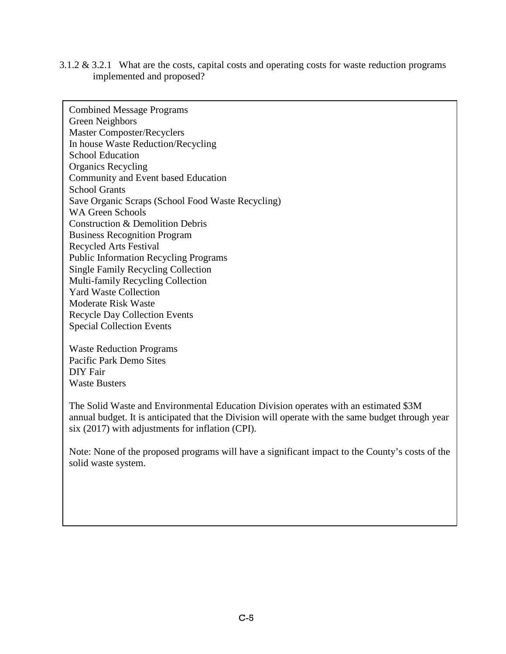3.1.2 & 3.2.1 What are the costs, capital costs and operating costs for waste reduction programs implemented and proposed?

Combined Message Programs Green Neighbors Master Composter/Recyclers In house Waste Reduction/Recycling School Education Organics Recycling Community and Event based Education School Grants Save Organic Scraps (School Food Waste Recycling) WA Green Schools Construction & Demolition Debris Business Recognition Program Recycled Arts Festival Public Information Recycling Programs Single Family Recycling Collection Multi-family Recycling Collection Yard Waste Collection Moderate Risk Waste Recycle Day Collection Events Special Collection Events

Waste Reduction Programs Pacific Park Demo Sites DIY Fair Waste Busters

The Solid Waste and Environmental Education Division operates with an estimated \$3M annual budget. It is anticipated that the Division will operate with the same budget through year six (2017) with adjustments for inflation (CPI).

Note: None of the proposed programs will have a significant impact to the County's costs of the solid waste system.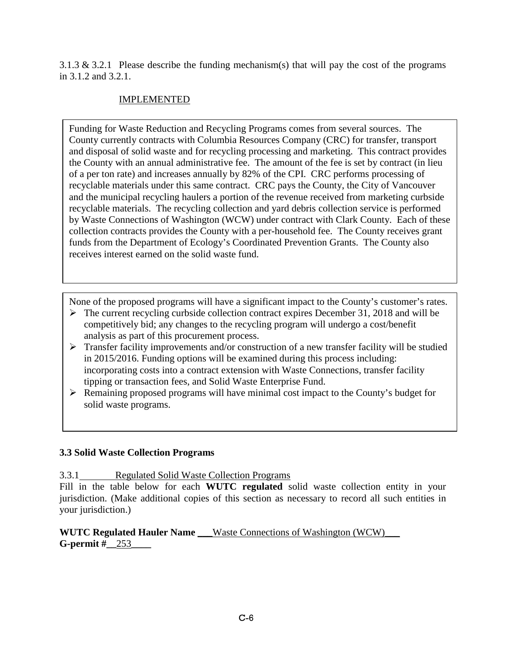3.1.3  $\&$  3.2.1 Please describe the funding mechanism(s) that will pay the cost of the programs in 3.1.2 and 3.2.1.

# IMPLEMENTED

Funding for Waste Reduction and Recycling Programs comes from several sources. The County currently contracts with Columbia Resources Company (CRC) for transfer, transport and disposal of solid waste and for recycling processing and marketing. This contract provides the County with an annual administrative fee. The amount of the fee is set by contract (in lieu of a per ton rate) and increases annually by 82% of the CPI. CRC performs processing of recyclable materials under this same contract. CRC pays the County, the City of Vancouver and the municipal recycling haulers a portion of the revenue received from marketing curbside recyclable materials. The recycling collection and yard debris collection service is performed by Waste Connections of Washington (WCW) under contract with Clark County. Each of these collection contracts provides the County with a per-household fee. The County receives grant funds from the Department of Ecology's Coordinated Prevention Grants. The County also receives interest earned on the solid waste fund.

None of the proposed programs will have a significant impact to the County's customer's rates.

- $\triangleright$  The current recycling curbside collection contract expires December 31, 2018 and will be competitively bid; any changes to the recycling program will undergo a cost/benefit analysis as part of this procurement process.
- $\triangleright$  Transfer facility improvements and/or construction of a new transfer facility will be studied in 2015/2016. Funding options will be examined during this process including: incorporating costs into a contract extension with Waste Connections, transfer facility tipping or transaction fees, and Solid Waste Enterprise Fund.
- $\triangleright$  Remaining proposed programs will have minimal cost impact to the County's budget for solid waste programs.

# **3.3 Solid Waste Collection Programs**

3.3.1 Regulated Solid Waste Collection Programs

Fill in the table below for each **WUTC regulated** solid waste collection entity in your jurisdiction. (Make additional copies of this section as necessary to record all such entities in your jurisdiction.)

**WUTC Regulated Hauler Name Waste Connections of Washington (WCW) G-permit #\_\_**253**\_\_\_\_**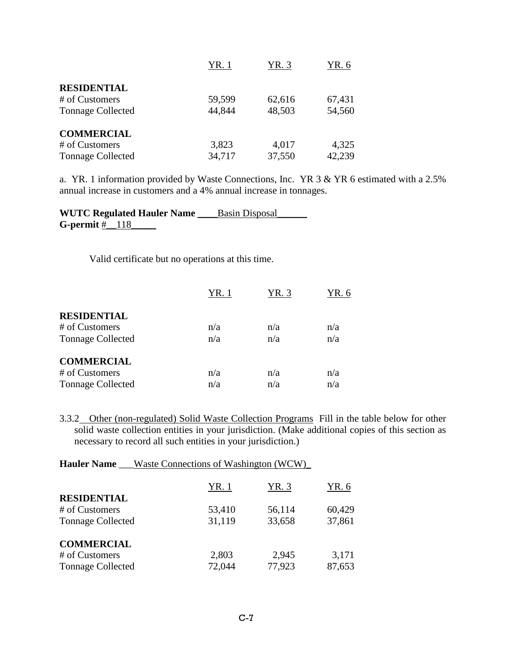|                          | YR. 1  | YR. 3  | YR. 6  |
|--------------------------|--------|--------|--------|
| <b>RESIDENTIAL</b>       |        |        |        |
| # of Customers           | 59,599 | 62,616 | 67,431 |
| <b>Tonnage Collected</b> | 44,844 | 48,503 | 54,560 |
| <b>COMMERCIAL</b>        |        |        |        |
| # of Customers           | 3,823  | 4,017  | 4,325  |
| <b>Tonnage Collected</b> | 34,717 | 37,550 | 42,239 |

a. YR. 1 information provided by Waste Connections, Inc. YR 3 & YR 6 estimated with a 2.5% annual increase in customers and a 4% annual increase in tonnages.

**WUTC Regulated Hauler Name** \_\_\_\_Basin Disposal\_\_\_\_\_\_ **G-permit #** 118

Valid certificate but no operations at this time.

|                          | YR. 1 | YR. 3 | YR. 6 |
|--------------------------|-------|-------|-------|
| <b>RESIDENTIAL</b>       |       |       |       |
| # of Customers           | n/a   | n/a   | n/a   |
| <b>Tonnage Collected</b> | n/a   | n/a   | n/a   |
| <b>COMMERCIAL</b>        |       |       |       |
| # of Customers           | n/a   | n/a   | n/a   |
| <b>Tonnage Collected</b> | n/a   | n/a   | n/a   |

3.3.2 Other (non-regulated) Solid Waste Collection Programs Fill in the table below for other solid waste collection entities in your jurisdiction. (Make additional copies of this section as necessary to record all such entities in your jurisdiction.)

| <b>Hauler Name</b> ___Waste Connections of Washington (WCW) |        |        |        |  |  |  |  |  |  |  |  |
|-------------------------------------------------------------|--------|--------|--------|--|--|--|--|--|--|--|--|
|                                                             | YR. 3  | YR. 6  |        |  |  |  |  |  |  |  |  |
| <b>RESIDENTIAL</b>                                          |        |        |        |  |  |  |  |  |  |  |  |
| # of Customers                                              | 53,410 | 56,114 | 60,429 |  |  |  |  |  |  |  |  |
| <b>Tonnage Collected</b>                                    | 31,119 | 33,658 | 37,861 |  |  |  |  |  |  |  |  |
| <b>COMMERCIAL</b>                                           |        |        |        |  |  |  |  |  |  |  |  |
| # of Customers                                              | 2,803  | 2,945  | 3,171  |  |  |  |  |  |  |  |  |
| <b>Tonnage Collected</b>                                    | 72,044 | 77,923 | 87,653 |  |  |  |  |  |  |  |  |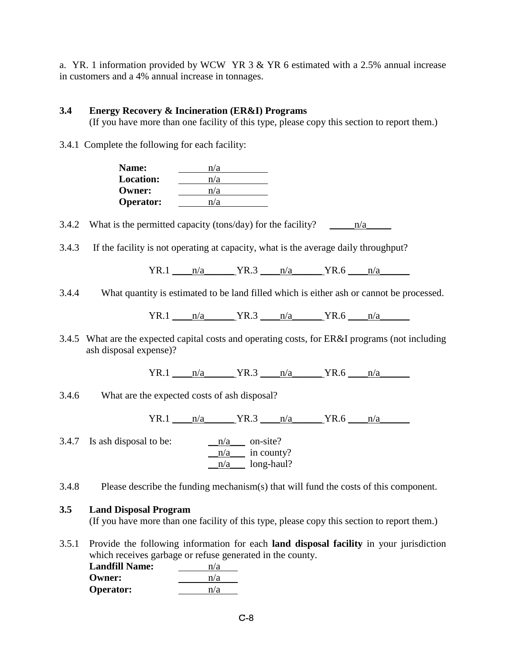a. YR. 1 information provided by WCW YR 3 & YR 6 estimated with a 2.5% annual increase in customers and a 4% annual increase in tonnages.

### **3.4 Energy Recovery & Incineration (ER&I) Programs**

(If you have more than one facility of this type, please copy this section to report them.)

3.4.1 Complete the following for each facility:

| <b>Name:</b>     | n/a |
|------------------|-----|
| <b>Location:</b> | n/a |
| <b>Owner:</b>    | n/a |
| <b>Operator:</b> | n/a |
|                  |     |

3.4.2 What is the permitted capacity (tons/day) for the facility? \_\_\_\_\_n/a\_\_\_\_\_

3.4.3 If the facility is not operating at capacity, what is the average daily throughput?

 $YR.1$   $n/a$   $YR.3$   $n/a$   $YR.6$   $n/a$ 

3.4.4 What quantity is estimated to be land filled which is either ash or cannot be processed.

YR.1 \_\_\_\_n/a\_\_\_\_\_\_ YR.3 \_\_\_\_n/a\_\_\_\_\_\_ YR.6 \_\_\_\_n/a\_\_\_\_\_\_

3.4.5 What are the expected capital costs and operating costs, for ER&I programs (not including ash disposal expense)?

 $YR.1$   $n/a$   $YR.3$   $n/a$   $YR.6$   $n/a$ 

3.4.6 What are the expected costs of ash disposal?

 $YR.1$   $n/a$   $YR.3$   $n/a$   $YR.6$   $n/a$ 

3.4.7 Is ash disposal to be:  $n/a$  on-site?  $\frac{-n/a}{n}$  in county? \_\_n/a\_\_\_ long-haul?

3.4.8 Please describe the funding mechanism(s) that will fund the costs of this component.

### **3.5 Land Disposal Program**

(If you have more than one facility of this type, please copy this section to report them.)

3.5.1 Provide the following information for each **land disposal facility** in your jurisdiction which receives garbage or refuse generated in the county.

| <b>Landfill Name:</b> | n/a |
|-----------------------|-----|
| <b>Owner:</b>         | n/a |
| <b>Operator:</b>      | n/a |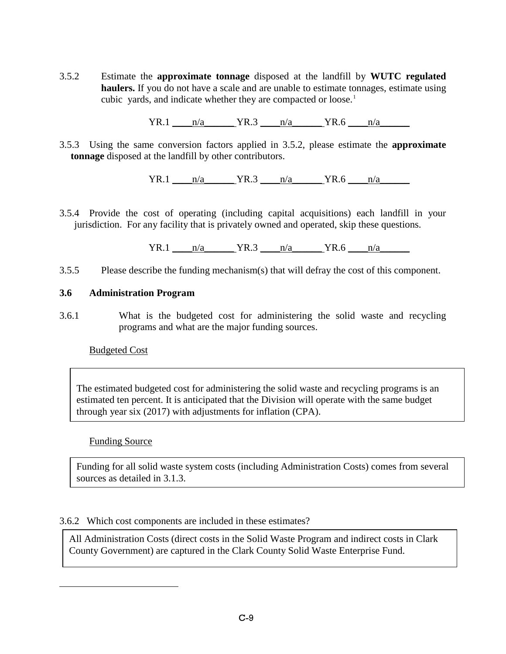3.5.2 Estimate the **approximate tonnage** disposed at the landfill by **WUTC regulated haulers.** If you do not have a scale and are unable to estimate tonnages, estimate using cubic yards, and indicate whether they are compacted or loose.<sup>[1](#page-8-0)</sup>

 $YR.1$   $n/a$   $YR.3$   $n/a$   $YR.6$   $n/a$ 

3.5.3 Using the same conversion factors applied in 3.5.2, please estimate the **approximate tonnage** disposed at the landfill by other contributors.

 $YR.1$   $n/a$   $YR.3$   $n/a$   $YR.6$   $n/a$ 

3.5.4 Provide the cost of operating (including capital acquisitions) each landfill in your jurisdiction. For any facility that is privately owned and operated, skip these questions.

 $YR.1$   $n/a$   $YR.3$   $n/a$   $YR.6$   $n/a$ 

3.5.5 Please describe the funding mechanism(s) that will defray the cost of this component.

### **3.6 Administration Program**

3.6.1 What is the budgeted cost for administering the solid waste and recycling programs and what are the major funding sources.

### Budgeted Cost

The estimated budgeted cost for administering the solid waste and recycling programs is an estimated ten percent. It is anticipated that the Division will operate with the same budget through year six (2017) with adjustments for inflation (CPA).

### Funding Source

<span id="page-8-0"></span> $\overline{a}$ 

Funding for all solid waste system costs (including Administration Costs) comes from several sources as detailed in 3.1.3.

### 3.6.2 Which cost components are included in these estimates?

All Administration Costs (direct costs in the Solid Waste Program and indirect costs in Clark County Government) are captured in the Clark County Solid Waste Enterprise Fund.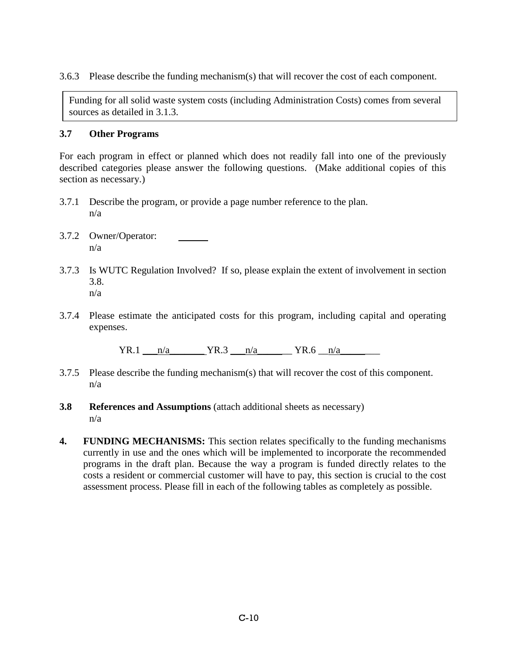3.6.3 Please describe the funding mechanism(s) that will recover the cost of each component.

Funding for all solid waste system costs (including Administration Costs) comes from several sources as detailed in 3.1.3.

### **3.7 Other Programs**

For each program in effect or planned which does not readily fall into one of the previously described categories please answer the following questions. (Make additional copies of this section as necessary.)

- 3.7.1 Describe the program, or provide a page number reference to the plan. n/a
- 3.7.2 Owner/Operator: n/a
- 3.7.3 Is WUTC Regulation Involved? If so, please explain the extent of involvement in section 3.8. n/a
- 3.7.4 Please estimate the anticipated costs for this program, including capital and operating expenses.

 $YR.1 \quad n/a \quad YR.3 \quad n/a \quad YR.6 \quad n/a$ 

- 3.7.5 Please describe the funding mechanism(s) that will recover the cost of this component. n/a
- **3.8 References and Assumptions** (attach additional sheets as necessary) n/a
- **4. FUNDING MECHANISMS:** This section relates specifically to the funding mechanisms currently in use and the ones which will be implemented to incorporate the recommended programs in the draft plan. Because the way a program is funded directly relates to the costs a resident or commercial customer will have to pay, this section is crucial to the cost assessment process. Please fill in each of the following tables as completely as possible.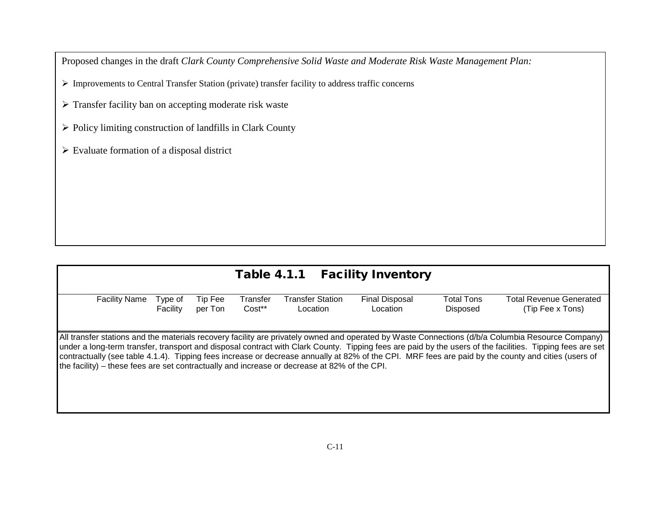Proposed changes in the draft *Clark County Comprehensive Solid Waste and Moderate Risk Waste Management Plan:*

Improvements to Central Transfer Station (private) transfer facility to address traffic concerns

> Transfer facility ban on accepting moderate risk waste

 $\triangleright$  Policy limiting construction of landfills in Clark County

 $\blacktriangleright$  Evaluate formation of a disposal district

| Table 4.1.1 Facility Inventory                                                               |                     |                    |                    |                                     |                                   |                               |                                                                                                                                                                                                                                                                                                                                                                                                                                                                       |  |  |  |
|----------------------------------------------------------------------------------------------|---------------------|--------------------|--------------------|-------------------------------------|-----------------------------------|-------------------------------|-----------------------------------------------------------------------------------------------------------------------------------------------------------------------------------------------------------------------------------------------------------------------------------------------------------------------------------------------------------------------------------------------------------------------------------------------------------------------|--|--|--|
| <b>Facility Name</b>                                                                         | Type of<br>Facility | Tip Fee<br>per Ton | Transfer<br>Cost** | <b>Transfer Station</b><br>Location | <b>Final Disposal</b><br>Location | <b>Total Tons</b><br>Disposed | <b>Total Revenue Generated</b><br>(Tip Fee x Tons)                                                                                                                                                                                                                                                                                                                                                                                                                    |  |  |  |
| the facility) – these fees are set contractually and increase or decrease at 82% of the CPI. |                     |                    |                    |                                     |                                   |                               | All transfer stations and the materials recovery facility are privately owned and operated by Waste Connections (d/b/a Columbia Resource Company)<br>under a long-term transfer, transport and disposal contract with Clark County. Tipping fees are paid by the users of the facilities. Tipping fees are set<br>contractually (see table 4.1.4). Tipping fees increase or decrease annually at 82% of the CPI. MRF fees are paid by the county and cities (users of |  |  |  |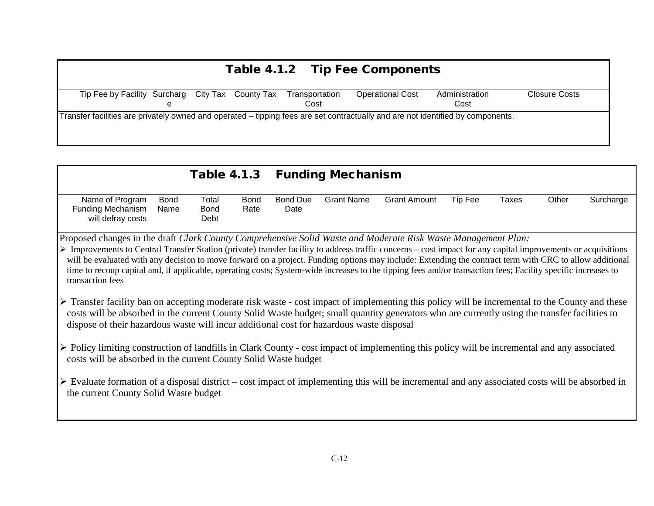| Table 4.1.2 Tip Fee Components                   |                                                                                                                                 |  |  |                        |                         |                        |               |  |  |  |
|--------------------------------------------------|---------------------------------------------------------------------------------------------------------------------------------|--|--|------------------------|-------------------------|------------------------|---------------|--|--|--|
| Tip Fee by Facility Surcharg City Tax County Tax |                                                                                                                                 |  |  | Transportation<br>Cost | <b>Operational Cost</b> | Administration<br>Cost | Closure Costs |  |  |  |
|                                                  | Transfer facilities are privately owned and operated – tipping fees are set contractually and are not identified by components. |  |  |                        |                         |                        |               |  |  |  |

|                                                                                                                                                                                                                                                                                                                                                                                             | <b>Table 4.1.3</b>                                                                                                                                                                                                                                                                                                                                                                                                                                                                                                                                                                                         |                         | <b>Funding Mechanism</b> |                     |         |              |       |           |  |  |  |
|---------------------------------------------------------------------------------------------------------------------------------------------------------------------------------------------------------------------------------------------------------------------------------------------------------------------------------------------------------------------------------------------|------------------------------------------------------------------------------------------------------------------------------------------------------------------------------------------------------------------------------------------------------------------------------------------------------------------------------------------------------------------------------------------------------------------------------------------------------------------------------------------------------------------------------------------------------------------------------------------------------------|-------------------------|--------------------------|---------------------|---------|--------------|-------|-----------|--|--|--|
| Name of Program<br><b>Bond</b><br><b>Funding Mechanism</b><br>Name<br>will defray costs                                                                                                                                                                                                                                                                                                     | Total<br><b>Bond</b><br><b>Bond</b><br>Rate<br>Debt                                                                                                                                                                                                                                                                                                                                                                                                                                                                                                                                                        | <b>Bond Due</b><br>Date | <b>Grant Name</b>        | <b>Grant Amount</b> | Tip Fee | <b>Taxes</b> | Other | Surcharge |  |  |  |
| transaction fees                                                                                                                                                                                                                                                                                                                                                                            | Proposed changes in the draft Clark County Comprehensive Solid Waste and Moderate Risk Waste Management Plan:<br>▶ Improvements to Central Transfer Station (private) transfer facility to address traffic concerns – cost impact for any capital improvements or acquisitions<br>will be evaluated with any decision to move forward on a project. Funding options may include: Extending the contract term with CRC to allow additional<br>time to recoup capital and, if applicable, operating costs; System-wide increases to the tipping fees and/or transaction fees; Facility specific increases to |                         |                          |                     |         |              |       |           |  |  |  |
| > Transfer facility ban on accepting moderate risk waste - cost impact of implementing this policy will be incremental to the County and these<br>costs will be absorbed in the current County Solid Waste budget; small quantity generators who are currently using the transfer facilities to<br>dispose of their hazardous waste will incur additional cost for hazardous waste disposal |                                                                                                                                                                                                                                                                                                                                                                                                                                                                                                                                                                                                            |                         |                          |                     |         |              |       |           |  |  |  |
| $\triangleright$ Policy limiting construction of landfills in Clark County - cost impact of implementing this policy will be incremental and any associated<br>costs will be absorbed in the current County Solid Waste budget                                                                                                                                                              |                                                                                                                                                                                                                                                                                                                                                                                                                                                                                                                                                                                                            |                         |                          |                     |         |              |       |           |  |  |  |
| $\triangleright$ Evaluate formation of a disposal district – cost impact of implementing this will be incremental and any associated costs will be absorbed in<br>the current County Solid Waste budget                                                                                                                                                                                     |                                                                                                                                                                                                                                                                                                                                                                                                                                                                                                                                                                                                            |                         |                          |                     |         |              |       |           |  |  |  |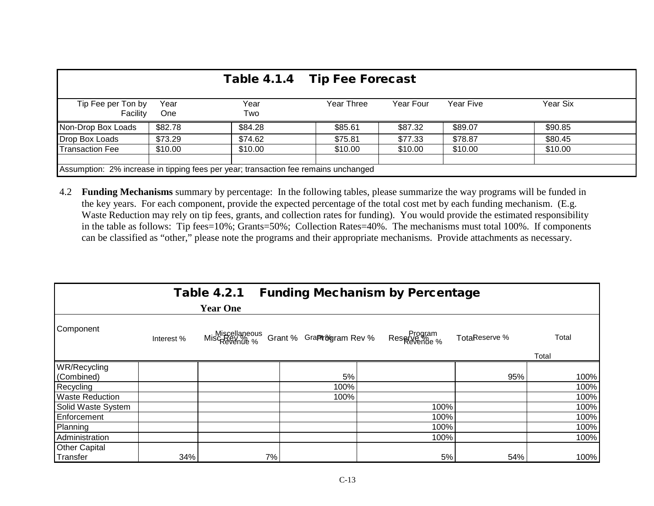|                                                                                     |             | Table 4.1.4 Tip Fee Forecast |            |           |           |          |  |  |  |
|-------------------------------------------------------------------------------------|-------------|------------------------------|------------|-----------|-----------|----------|--|--|--|
| Tip Fee per Ton by<br>Facility                                                      | Year<br>One | Year<br>Two                  | Year Three | Year Four | Year Five | Year Six |  |  |  |
| Non-Drop Box Loads                                                                  | \$82.78     | \$84.28                      | \$85.61    | \$87.32   | \$89.07   | \$90.85  |  |  |  |
| Drop Box Loads                                                                      | \$73.29     | \$74.62                      | \$75.81    | \$77.33   | \$78.87   | \$80.45  |  |  |  |
| <b>Transaction Fee</b>                                                              | \$10.00     | \$10.00                      | \$10.00    | \$10.00   | \$10.00   | \$10.00  |  |  |  |
|                                                                                     |             |                              |            |           |           |          |  |  |  |
| Assumption: 2% increase in tipping fees per year; transaction fee remains unchanged |             |                              |            |           |           |          |  |  |  |

4.2 **Funding Mechanisms** summary by percentage: In the following tables, please summarize the way programs will be funded in the key years. For each component, provide the expected percentage of the total cost met by each funding mechanism. (E.g. Waste Reduction may rely on tip fees, grants, and collection rates for funding). You would provide the estimated responsibility in the table as follows: Tip fees=10%; Grants=50%; Collection Rates=40%. The mechanisms must total 100%. If components can be classified as "other," please note the programs and their appropriate mechanisms. Provide attachments as necessary.

|                        |            | <b>Table 4.2.1</b>             |    |                          | <b>Funding Mechanism by Percentage</b> |               |       |
|------------------------|------------|--------------------------------|----|--------------------------|----------------------------------------|---------------|-------|
|                        |            | <b>Year One</b>                |    |                          |                                        |               |       |
| Component              | Interest % | Miscellaneous<br>MiscRevenue % |    | Grant % GraPt%gram Rev % | Program<br>Revenue %                   | TotaReserve % | Total |
|                        |            |                                |    |                          |                                        |               | Total |
| WR/Recycling           |            |                                |    |                          |                                        |               |       |
| (Combined)             |            |                                |    | 5%                       |                                        | 95%           | 100%  |
| Recycling              |            |                                |    | 100%                     |                                        |               | 100%  |
| <b>Waste Reduction</b> |            |                                |    | 100%                     |                                        |               | 100%  |
| Solid Waste System     |            |                                |    |                          | 100%                                   |               | 100%  |
| Enforcement            |            |                                |    |                          | 100%                                   |               | 100%  |
| Planning               |            |                                |    |                          | 100%                                   |               | 100%  |
| Administration         |            |                                |    |                          | 100%                                   |               | 100%  |
| <b>Other Capital</b>   |            |                                |    |                          |                                        |               |       |
| Transfer               | 34%        |                                | 7% |                          | 5%                                     | 54%           | 100%  |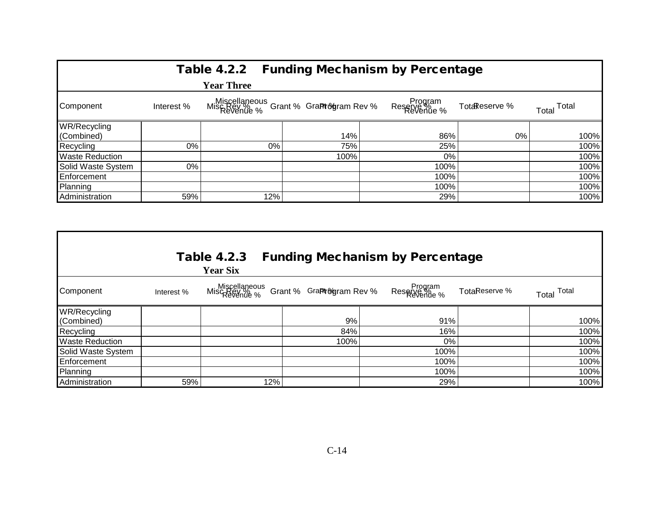|                        |            |                                                       |      | Table 4.2.2 Funding Mechanism by Percentage |               |                |
|------------------------|------------|-------------------------------------------------------|------|---------------------------------------------|---------------|----------------|
|                        |            | <b>Year Three</b>                                     |      |                                             |               |                |
| Component              | Interest % | Miscellaneous<br>Mischolie % Grant % Grantogram Rev % |      | Program<br>Reserve <i>Ye</i>                | TotaReserve % | Total<br>Total |
| WR/Recycling           |            |                                                       |      |                                             |               |                |
| (Combined)             |            |                                                       | 14%  | 86%                                         | 0%            | 100%           |
| Recycling              | 0%         | 0%                                                    | 75%  | 25%                                         |               | 100%           |
| <b>Waste Reduction</b> |            |                                                       | 100% |                                             | 0%            | 100%           |
| Solid Waste System     | 0%         |                                                       |      | 100%                                        |               | 100%           |
| Enforcement            |            |                                                       |      | 100%                                        |               | 100%           |
| Planning               |            |                                                       |      | 100%                                        |               | 100%           |
| Administration         | 59%        | 12%                                                   |      | 29%                                         |               | 100%           |

| <b>Table 4.2.3</b><br><b>Funding Mechanism by Percentage</b><br><b>Year Six</b> |            |                                |                           |                                 |               |                |  |  |  |  |
|---------------------------------------------------------------------------------|------------|--------------------------------|---------------------------|---------------------------------|---------------|----------------|--|--|--|--|
| Component                                                                       | Interest % | Miscellaneous<br>MiscRevenue % | Grant % GraPtr&gram Rev % | Program<br>Reserve<br>Revenue % | TotaReserve % | Total<br>Total |  |  |  |  |
| WR/Recycling                                                                    |            |                                |                           |                                 |               |                |  |  |  |  |
| (Combined)                                                                      |            |                                | 9%                        | 91%                             |               | 100%           |  |  |  |  |
| Recycling                                                                       |            |                                | 84%                       | 16%                             |               | 100%           |  |  |  |  |
| <b>Waste Reduction</b>                                                          |            |                                | 100%                      | 0%                              |               | 100%           |  |  |  |  |
| Solid Waste System                                                              |            |                                |                           | 100%                            |               | 100%           |  |  |  |  |
| Enforcement                                                                     |            |                                |                           | 100%                            |               | 100%           |  |  |  |  |
| Planning                                                                        |            |                                |                           | 100%                            |               | 100%           |  |  |  |  |
| Administration                                                                  | 59%        | 12%                            |                           | 29%                             |               | 100%           |  |  |  |  |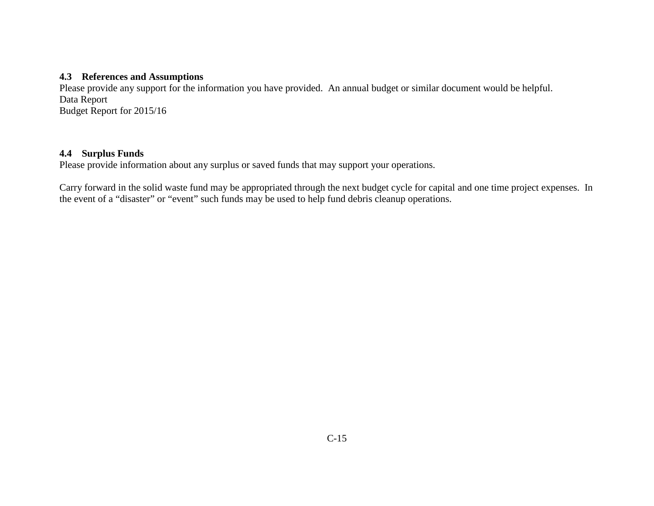### **4.3 References and Assumptions**

Please provide any support for the information you have provided. An annual budget or similar document would be helpful. Data Report Budget Report for 2015/16

### **4.4 Surplus Funds**

Please provide information about any surplus or saved funds that may support your operations.

Carry forward in the solid waste fund may be appropriated through the next budget cycle for capital and one time project expenses. In the event of a "disaster" or "event" such funds may be used to help fund debris cleanup operations.